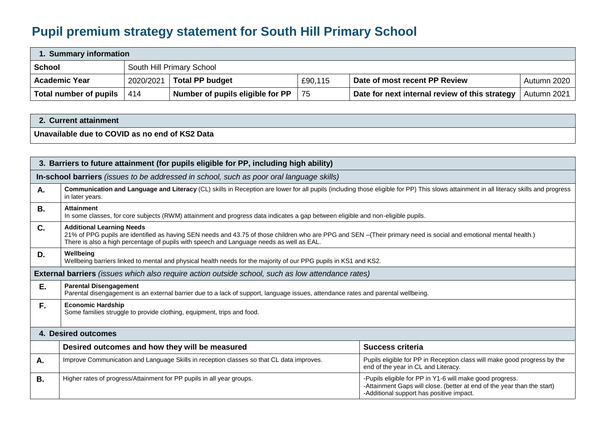## **Pupil premium strategy statement for South Hill Primary School**

| 1. Summary information |           |                                  |         |                                                |             |  |
|------------------------|-----------|----------------------------------|---------|------------------------------------------------|-------------|--|
| <b>School</b>          |           | South Hill Primary School        |         |                                                |             |  |
| <b>Academic Year</b>   | 2020/2021 | <b>Total PP budget</b>           | £90,115 | Date of most recent PP Review                  | Autumn 2020 |  |
| Total number of pupils | 414       | Number of pupils eligible for PP | 75      | Date for next internal review of this strategy | Autumn 2021 |  |

## **2. Current attainment**

**Unavailable due to COVID as no end of KS2 Data**

| 3. Barriers to future attainment (for pupils eligible for PP, including high ability) |                                                                                                                                                                                                                                                                                                   |                                                                                                                                                                                 |  |  |  |
|---------------------------------------------------------------------------------------|---------------------------------------------------------------------------------------------------------------------------------------------------------------------------------------------------------------------------------------------------------------------------------------------------|---------------------------------------------------------------------------------------------------------------------------------------------------------------------------------|--|--|--|
|                                                                                       | In-school barriers (issues to be addressed in school, such as poor oral language skills)                                                                                                                                                                                                          |                                                                                                                                                                                 |  |  |  |
| Α.                                                                                    | Communication and Language and Literacy (CL) skills in Reception are lower for all pupils (including those eligible for PP) This slows attainment in all literacy skills and progress<br>in later years.                                                                                          |                                                                                                                                                                                 |  |  |  |
| <b>B.</b>                                                                             | <b>Attainment</b><br>In some classes, for core subjects (RWM) attainment and progress data indicates a gap between eligible and non-eligible pupils.                                                                                                                                              |                                                                                                                                                                                 |  |  |  |
| C.                                                                                    | <b>Additional Learning Needs</b><br>21% of PPG pupils are identified as having SEN needs and 43.75 of those children who are PPG and SEN -(Their primary need is social and emotional mental health.)<br>There is also a high percentage of pupils with speech and Language needs as well as EAL. |                                                                                                                                                                                 |  |  |  |
| D.                                                                                    | Wellbeing<br>Wellbeing barriers linked to mental and physical health needs for the majority of our PPG pupils in KS1 and KS2.                                                                                                                                                                     |                                                                                                                                                                                 |  |  |  |
|                                                                                       | <b>External barriers</b> (issues which also require action outside school, such as low attendance rates)                                                                                                                                                                                          |                                                                                                                                                                                 |  |  |  |
| Ε.                                                                                    | <b>Parental Disengagement</b><br>Parental disengagement is an external barrier due to a lack of support, language issues, attendance rates and parental wellbeing.                                                                                                                                |                                                                                                                                                                                 |  |  |  |
| F.                                                                                    | <b>Economic Hardship</b><br>Some families struggle to provide clothing, equipment, trips and food.                                                                                                                                                                                                |                                                                                                                                                                                 |  |  |  |
|                                                                                       | 4. Desired outcomes                                                                                                                                                                                                                                                                               |                                                                                                                                                                                 |  |  |  |
|                                                                                       | Desired outcomes and how they will be measured                                                                                                                                                                                                                                                    | <b>Success criteria</b>                                                                                                                                                         |  |  |  |
| А.                                                                                    | Improve Communication and Language Skills in reception classes so that CL data improves.<br>Pupils eligible for PP in Reception class will make good progress by the<br>end of the year in CL and Literacy.                                                                                       |                                                                                                                                                                                 |  |  |  |
| <b>B.</b>                                                                             | Higher rates of progress/Attainment for PP pupils in all year groups.                                                                                                                                                                                                                             | -Pupils eligible for PP in Y1-6 will make good progress.<br>-Attainment Gaps will close. (better at end of the year than the start)<br>-Additional support has positive impact. |  |  |  |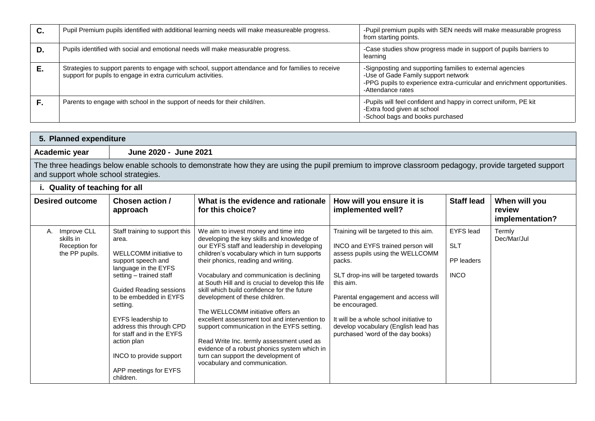| С. | Pupil Premium pupils identified with additional learning needs will make measureable progress.                                                                      | -Pupil premium pupils with SEN needs will make measurable progress<br>from starting points.                                                                                                       |
|----|---------------------------------------------------------------------------------------------------------------------------------------------------------------------|---------------------------------------------------------------------------------------------------------------------------------------------------------------------------------------------------|
| D. | Pupils identified with social and emotional needs will make measurable progress.                                                                                    | -Case studies show progress made in support of pupils barriers to<br>learning                                                                                                                     |
| Е. | Strategies to support parents to engage with school, support attendance and for families to receive<br>support for pupils to engage in extra curriculum activities. | -Signposting and supporting families to external agencies<br>-Use of Gade Family support network<br>-PPG pupils to experience extra-curricular and enrichment opportunities.<br>-Attendance rates |
|    | Parents to engage with school in the support of needs for their child/ren.                                                                                          | -Pupils will feel confident and happy in correct uniform, PE kit<br>-Extra food given at school<br>-School bags and books purchased                                                               |

| 5. Planned expenditure                                            |                                                                                                                                                                                                                                                                                                                                             |                                                                                                                                                                                                                                                                                                                                                                                                                                                                                                                                                                                                                                                                                                                      |                                                                                                                                                                                                                                                                                                                                                                  |                                                             |                                            |  |
|-------------------------------------------------------------------|---------------------------------------------------------------------------------------------------------------------------------------------------------------------------------------------------------------------------------------------------------------------------------------------------------------------------------------------|----------------------------------------------------------------------------------------------------------------------------------------------------------------------------------------------------------------------------------------------------------------------------------------------------------------------------------------------------------------------------------------------------------------------------------------------------------------------------------------------------------------------------------------------------------------------------------------------------------------------------------------------------------------------------------------------------------------------|------------------------------------------------------------------------------------------------------------------------------------------------------------------------------------------------------------------------------------------------------------------------------------------------------------------------------------------------------------------|-------------------------------------------------------------|--------------------------------------------|--|
| Academic year                                                     | June 2020 - June 2021                                                                                                                                                                                                                                                                                                                       |                                                                                                                                                                                                                                                                                                                                                                                                                                                                                                                                                                                                                                                                                                                      |                                                                                                                                                                                                                                                                                                                                                                  |                                                             |                                            |  |
|                                                                   | The three headings below enable schools to demonstrate how they are using the pupil premium to improve classroom pedagogy, provide targeted support<br>and support whole school strategies.                                                                                                                                                 |                                                                                                                                                                                                                                                                                                                                                                                                                                                                                                                                                                                                                                                                                                                      |                                                                                                                                                                                                                                                                                                                                                                  |                                                             |                                            |  |
| i. Quality of teaching for all                                    |                                                                                                                                                                                                                                                                                                                                             |                                                                                                                                                                                                                                                                                                                                                                                                                                                                                                                                                                                                                                                                                                                      |                                                                                                                                                                                                                                                                                                                                                                  |                                                             |                                            |  |
| <b>Desired outcome</b>                                            | <b>Chosen action /</b><br>approach                                                                                                                                                                                                                                                                                                          | What is the evidence and rationale<br>for this choice?                                                                                                                                                                                                                                                                                                                                                                                                                                                                                                                                                                                                                                                               | How will you ensure it is<br>implemented well?                                                                                                                                                                                                                                                                                                                   | <b>Staff lead</b>                                           | When will you<br>review<br>implementation? |  |
| Improve CLL<br>А.<br>skills in<br>Reception for<br>the PP pupils. | Staff training to support this<br>area.<br>WELLCOMM initiative to<br>support speech and<br>language in the EYFS<br>setting – trained staff<br><b>Guided Reading sessions</b><br>to be embedded in EYFS<br>setting.<br>EYFS leadership to<br>address this through CPD<br>for staff and in the EYFS<br>action plan<br>INCO to provide support | We aim to invest money and time into<br>developing the key skills and knowledge of<br>our EYFS staff and leadership in developing<br>children's vocabulary which in turn supports<br>their phonics, reading and writing.<br>Vocabulary and communication is declining<br>at South Hill and is crucial to develop this life<br>skill which build confidence for the future<br>development of these children.<br>The WELLCOMM initiative offers an<br>excellent assessment tool and intervention to<br>support communication in the EYFS setting.<br>Read Write Inc. termly assessment used as<br>evidence of a robust phonics system which in<br>turn can support the development of<br>vocabulary and communication. | Training will be targeted to this aim.<br>INCO and EYFS trained person will<br>assess pupils using the WELLCOMM<br>packs.<br>SLT drop-ins will be targeted towards<br>this aim.<br>Parental engagement and access will<br>be encouraged.<br>It will be a whole school initiative to<br>develop vocabulary (English lead has<br>purchased 'word of the day books) | <b>EYFS</b> lead<br><b>SLT</b><br>PP leaders<br><b>INCO</b> | Termly<br>Dec/Mar/Jul                      |  |

APP meetings for EYFS

children.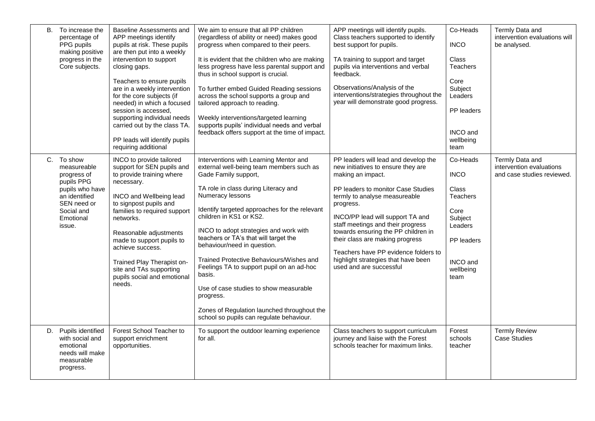|    | B. To increase the<br>percentage of<br>PPG pupils<br>making positive<br>progress in the<br>Core subjects.                                      | Baseline Assessments and<br>APP meetings identify<br>pupils at risk. These pupils<br>are then put into a weekly<br>intervention to support<br>closing gaps.<br>Teachers to ensure pupils<br>are in a weekly intervention<br>for the core subjects (if<br>needed) in which a focused<br>session is accessed.<br>supporting individual needs<br>carried out by the class TA.<br>PP leads will identify pupils<br>requiring additional | We aim to ensure that all PP children<br>(regardless of ability or need) makes good<br>progress when compared to their peers.<br>It is evident that the children who are making<br>less progress have less parental support and<br>thus in school support is crucial.<br>To further embed Guided Reading sessions<br>across the school supports a group and<br>tailored approach to reading.<br>Weekly interventions/targeted learning<br>supports pupils' individual needs and verbal<br>feedback offers support at the time of impact.                                                                                  | APP meetings will identify pupils.<br>Class teachers supported to identify<br>best support for pupils.<br>TA training to support and target<br>pupils via interventions and verbal<br>feedback.<br>Observations/Analysis of the<br>interventions/strategies throughout the<br>year will demonstrate good progress.                                                                                                                               | Co-Heads<br><b>INCO</b><br><b>Class</b><br>Teachers<br>Core<br>Subject<br>Leaders<br>PP leaders<br><b>INCO</b> and<br>wellbeing<br>team | Termly Data and<br>intervention evaluations will<br>be analysed.          |
|----|------------------------------------------------------------------------------------------------------------------------------------------------|-------------------------------------------------------------------------------------------------------------------------------------------------------------------------------------------------------------------------------------------------------------------------------------------------------------------------------------------------------------------------------------------------------------------------------------|---------------------------------------------------------------------------------------------------------------------------------------------------------------------------------------------------------------------------------------------------------------------------------------------------------------------------------------------------------------------------------------------------------------------------------------------------------------------------------------------------------------------------------------------------------------------------------------------------------------------------|--------------------------------------------------------------------------------------------------------------------------------------------------------------------------------------------------------------------------------------------------------------------------------------------------------------------------------------------------------------------------------------------------------------------------------------------------|-----------------------------------------------------------------------------------------------------------------------------------------|---------------------------------------------------------------------------|
|    | C. To show<br>measureable<br>progress of<br>pupils PPG<br>pupils who have<br>an identified<br>SEN need or<br>Social and<br>Emotional<br>issue. | INCO to provide tailored<br>support for SEN pupils and<br>to provide training where<br>necessary.<br>INCO and Wellbeing lead<br>to signpost pupils and<br>families to required support<br>networks.<br>Reasonable adjustments<br>made to support pupils to<br>achieve success.<br>Trained Play Therapist on-<br>site and TAs supporting<br>pupils social and emotional<br>needs.                                                    | Interventions with Learning Mentor and<br>external well-being team members such as<br>Gade Family support,<br>TA role in class during Literacy and<br>Numeracy lessons<br>Identify targeted approaches for the relevant<br>children in KS1 or KS2.<br>INCO to adopt strategies and work with<br>teachers or TA's that will target the<br>behaviour/need in question.<br>Trained Protective Behaviours/Wishes and<br>Feelings TA to support pupil on an ad-hoc<br>basis.<br>Use of case studies to show measurable<br>progress.<br>Zones of Regulation launched throughout the<br>school so pupils can regulate behaviour. | PP leaders will lead and develop the<br>new initiatives to ensure they are<br>making an impact.<br>PP leaders to monitor Case Studies<br>termly to analyse measureable<br>progress.<br>INCO/PP lead will support TA and<br>staff meetings and their progress<br>towards ensuring the PP children in<br>their class are making progress<br>Teachers have PP evidence folders to<br>highlight strategies that have been<br>used and are successful | Co-Heads<br><b>INCO</b><br><b>Class</b><br><b>Teachers</b><br>Core<br>Subject<br>Leaders<br>PP leaders<br>INCO and<br>wellbeing<br>team | Termly Data and<br>intervention evaluations<br>and case studies reviewed. |
| D. | Pupils identified<br>with social and<br>emotional<br>needs will make<br>measurable<br>progress.                                                | Forest School Teacher to<br>support enrichment<br>opportunities.                                                                                                                                                                                                                                                                                                                                                                    | To support the outdoor learning experience<br>for all.                                                                                                                                                                                                                                                                                                                                                                                                                                                                                                                                                                    | Class teachers to support curriculum<br>journey and liaise with the Forest<br>schools teacher for maximum links.                                                                                                                                                                                                                                                                                                                                 | Forest<br>schools<br>teacher                                                                                                            | <b>Termly Review</b><br><b>Case Studies</b>                               |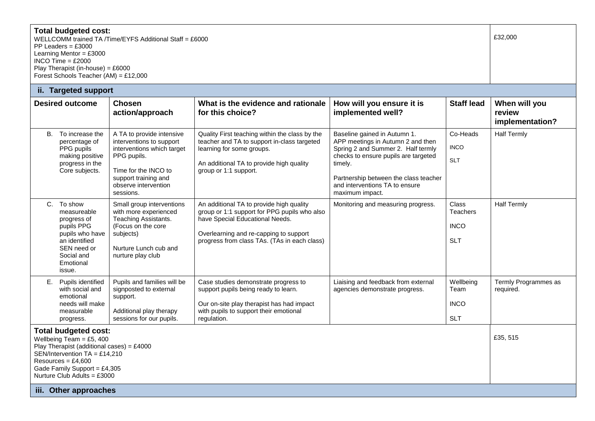| <b>Total budgeted cost:</b><br>WELLCOMM trained TA /Time/EYFS Additional Staff = £6000<br>PP Leaders = $£3000$<br>Learning Mentor = $£3000$<br>INCO Time = $£2000$<br>Play Therapist (in-house) = $£6000$                             |                                                                                                                                             |                                                                                                                                                                                         |                                                                                                                                                                                                                       |                                                                                                                                                                                                                                                          |                                                       | £32,000                                    |
|---------------------------------------------------------------------------------------------------------------------------------------------------------------------------------------------------------------------------------------|---------------------------------------------------------------------------------------------------------------------------------------------|-----------------------------------------------------------------------------------------------------------------------------------------------------------------------------------------|-----------------------------------------------------------------------------------------------------------------------------------------------------------------------------------------------------------------------|----------------------------------------------------------------------------------------------------------------------------------------------------------------------------------------------------------------------------------------------------------|-------------------------------------------------------|--------------------------------------------|
|                                                                                                                                                                                                                                       | Forest Schools Teacher (AM) = £12,000                                                                                                       |                                                                                                                                                                                         |                                                                                                                                                                                                                       |                                                                                                                                                                                                                                                          |                                                       |                                            |
|                                                                                                                                                                                                                                       | ii. Targeted support                                                                                                                        |                                                                                                                                                                                         |                                                                                                                                                                                                                       |                                                                                                                                                                                                                                                          |                                                       |                                            |
|                                                                                                                                                                                                                                       | <b>Desired outcome</b>                                                                                                                      | <b>Chosen</b><br>action/approach                                                                                                                                                        | What is the evidence and rationale<br>for this choice?                                                                                                                                                                | How will you ensure it is<br>implemented well?                                                                                                                                                                                                           | <b>Staff lead</b>                                     | When will you<br>review<br>implementation? |
|                                                                                                                                                                                                                                       | B. To increase the<br>percentage of<br>PPG pupils<br>making positive<br>progress in the<br>Core subjects.                                   | A TA to provide intensive<br>interventions to support<br>interventions which target<br>PPG pupils.<br>Time for the INCO to<br>support training and<br>observe intervention<br>sessions. | Quality First teaching within the class by the<br>teacher and TA to support in-class targeted<br>learning for some groups.<br>An additional TA to provide high quality<br>group or 1:1 support.                       | Baseline gained in Autumn 1.<br>APP meetings in Autumn 2 and then<br>Spring 2 and Summer 2. Half termly<br>checks to ensure pupils are targeted<br>timely.<br>Partnership between the class teacher<br>and interventions TA to ensure<br>maximum impact. | Co-Heads<br><b>INCO</b><br><b>SLT</b>                 | <b>Half Termly</b>                         |
| C.                                                                                                                                                                                                                                    | To show<br>measureable<br>progress of<br>pupils PPG<br>pupils who have<br>an identified<br>SEN need or<br>Social and<br>Emotional<br>issue. | Small group interventions<br>with more experienced<br>Teaching Assistants.<br>(Focus on the core<br>subjects)<br>Nurture Lunch cub and<br>nurture play club                             | An additional TA to provide high quality<br>group or 1:1 support for PPG pupils who also<br>have Special Educational Needs.<br>Overlearning and re-capping to support<br>progress from class TAs. (TAs in each class) | Monitoring and measuring progress.                                                                                                                                                                                                                       | Class<br><b>Teachers</b><br><b>INCO</b><br><b>SLT</b> | <b>Half Termly</b>                         |
|                                                                                                                                                                                                                                       | E. Pupils identified<br>with social and<br>emotional<br>needs will make<br>measurable<br>progress.                                          | Pupils and families will be<br>signposted to external<br>support.<br>Additional play therapy<br>sessions for our pupils.                                                                | Case studies demonstrate progress to<br>support pupils being ready to learn.<br>Our on-site play therapist has had impact<br>with pupils to support their emotional<br>regulation.                                    | Liaising and feedback from external<br>agencies demonstrate progress.                                                                                                                                                                                    | Wellbeing<br>Team<br><b>INCO</b><br><b>SLT</b>        | Termly Programmes as<br>required.          |
| <b>Total budgeted cost:</b><br>Wellbeing Team = $£5,400$<br>Play Therapist (additional cases) = $£4000$<br>SEN/Intervention $TA = £14,210$<br>Resources = $£4,600$<br>Gade Family Support = $£4,305$<br>Nurture Club Adults = $£3000$ |                                                                                                                                             |                                                                                                                                                                                         |                                                                                                                                                                                                                       |                                                                                                                                                                                                                                                          | £35, 515                                              |                                            |
|                                                                                                                                                                                                                                       | iii. Other approaches                                                                                                                       |                                                                                                                                                                                         |                                                                                                                                                                                                                       |                                                                                                                                                                                                                                                          |                                                       |                                            |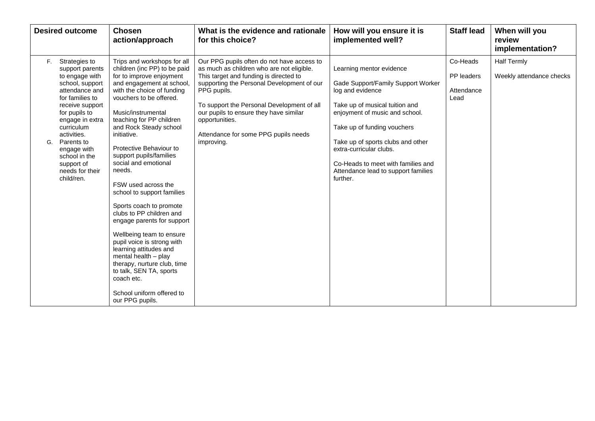| <b>Desired outcome</b>                                                                                                                                                                                                                                                                                  | <b>Chosen</b><br>action/approach                                                                                                                                                                                                                                                                                                                                                                                                                                                                                                                                                                                                                                                                                                               | What is the evidence and rationale<br>for this choice?                                                                                                                                                                                                                                                                                                         | How will you ensure it is<br>implemented well?                                                                                                                                                                                                                                                                                                 | <b>Staff lead</b>                            | When will you<br>review<br>implementation?     |
|---------------------------------------------------------------------------------------------------------------------------------------------------------------------------------------------------------------------------------------------------------------------------------------------------------|------------------------------------------------------------------------------------------------------------------------------------------------------------------------------------------------------------------------------------------------------------------------------------------------------------------------------------------------------------------------------------------------------------------------------------------------------------------------------------------------------------------------------------------------------------------------------------------------------------------------------------------------------------------------------------------------------------------------------------------------|----------------------------------------------------------------------------------------------------------------------------------------------------------------------------------------------------------------------------------------------------------------------------------------------------------------------------------------------------------------|------------------------------------------------------------------------------------------------------------------------------------------------------------------------------------------------------------------------------------------------------------------------------------------------------------------------------------------------|----------------------------------------------|------------------------------------------------|
| Strategies to<br>F.<br>support parents<br>to engage with<br>school, support<br>attendance and<br>for families to<br>receive support<br>for pupils to<br>engage in extra<br>curriculum<br>activities.<br>Parents to<br>G.<br>engage with<br>school in the<br>support of<br>needs for their<br>child/ren. | Trips and workshops for all<br>children (inc PP) to be paid<br>for to improve enjoyment<br>and engagement at school,<br>with the choice of funding<br>vouchers to be offered.<br>Music/instrumental<br>teaching for PP children<br>and Rock Steady school<br>initiative.<br>Protective Behaviour to<br>support pupils/families<br>social and emotional<br>needs.<br>FSW used across the<br>school to support families<br>Sports coach to promote<br>clubs to PP children and<br>engage parents for support<br>Wellbeing team to ensure<br>pupil voice is strong with<br>learning attitudes and<br>mental health - play<br>therapy, nurture club, time<br>to talk, SEN TA, sports<br>coach etc.<br>School uniform offered to<br>our PPG pupils. | Our PPG pupils often do not have access to<br>as much as children who are not eligible.<br>This target and funding is directed to<br>supporting the Personal Development of our<br>PPG pupils.<br>To support the Personal Development of all<br>our pupils to ensure they have similar<br>opportunities.<br>Attendance for some PPG pupils needs<br>improving. | Learning mentor evidence<br>Gade Support/Family Support Worker<br>log and evidence<br>Take up of musical tuition and<br>enjoyment of music and school.<br>Take up of funding vouchers<br>Take up of sports clubs and other<br>extra-curricular clubs.<br>Co-Heads to meet with families and<br>Attendance lead to support families<br>further. | Co-Heads<br>PP leaders<br>Attendance<br>Lead | <b>Half Termly</b><br>Weekly attendance checks |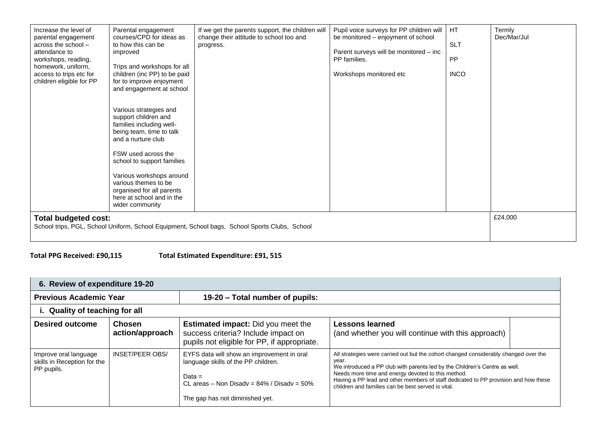| Increase the level of<br>parental engagement<br>across the school $-$<br>attendance to<br>workshops, reading,<br>homework, uniform,<br>access to trips etc for<br>children eligible for PP | Parental engagement<br>courses/CPD for ideas as<br>to how this can be<br>improved<br>Trips and workshops for all<br>children (inc PP) to be paid<br>for to improve enjoyment<br>and engagement at school<br>Various strategies and<br>support children and<br>families including well-<br>being team, time to talk<br>and a nurture club<br>FSW used across the<br>school to support families<br>Various workshops around<br>various themes to be<br>organised for all parents<br>here at school and in the<br>wider community | If we get the parents support, the children will<br>change their attitude to school too and<br>progress. | Pupil voice surveys for PP children will<br>be monitored – enjoyment of school<br>Parent surveys will be monitored - inc<br>PP families.<br>Workshops monitored etc | HT.<br><b>SLT</b><br><b>PP</b><br><b>INCO</b> | Termly<br>Dec/Mar/Jul |
|--------------------------------------------------------------------------------------------------------------------------------------------------------------------------------------------|--------------------------------------------------------------------------------------------------------------------------------------------------------------------------------------------------------------------------------------------------------------------------------------------------------------------------------------------------------------------------------------------------------------------------------------------------------------------------------------------------------------------------------|----------------------------------------------------------------------------------------------------------|---------------------------------------------------------------------------------------------------------------------------------------------------------------------|-----------------------------------------------|-----------------------|
| <b>Total budgeted cost:</b>                                                                                                                                                                |                                                                                                                                                                                                                                                                                                                                                                                                                                                                                                                                | School trips, PGL, School Uniform, School Equipment, School bags, School Sports Clubs, School            |                                                                                                                                                                     |                                               | £24,000               |

**Total PPG Received: £90,115 Total Estimated Expenditure: £91, 515**

| 6. Review of expenditure 19-20                                     |                                  |                                                                                                                                                                                      |                                                                                                                                                                                                                                                                                                                                                                                |  |  |  |  |
|--------------------------------------------------------------------|----------------------------------|--------------------------------------------------------------------------------------------------------------------------------------------------------------------------------------|--------------------------------------------------------------------------------------------------------------------------------------------------------------------------------------------------------------------------------------------------------------------------------------------------------------------------------------------------------------------------------|--|--|--|--|
| <b>Previous Academic Year</b>                                      |                                  | 19-20 – Total number of pupils:                                                                                                                                                      |                                                                                                                                                                                                                                                                                                                                                                                |  |  |  |  |
| i. Quality of teaching for all                                     |                                  |                                                                                                                                                                                      |                                                                                                                                                                                                                                                                                                                                                                                |  |  |  |  |
| Desired outcome                                                    | <b>Chosen</b><br>action/approach | <b>Estimated impact:</b> Did you meet the<br>success criteria? Include impact on<br>pupils not eligible for PP, if appropriate.                                                      | <b>Lessons learned</b><br>(and whether you will continue with this approach)                                                                                                                                                                                                                                                                                                   |  |  |  |  |
| Improve oral language<br>skills in Reception for the<br>PP pupils. | <b>INSET/PEER OBS/</b>           | EYFS data will show an improvement in oral<br>language skills of the PP children.<br>Data $=$<br>CL areas – Non Disady = $84\%$ / Disady = $50\%$<br>The gap has not diminished yet. | All strategies were carried out but the cohort changed considerably changed over the<br>year.<br>We introduced a PP club with parents led by the Children's Centre as well.<br>Needs more time and energy devoted to this method.<br>Having a PP lead and other members of staff dedicated to PP provision and how these<br>children and families can be best served is vital. |  |  |  |  |